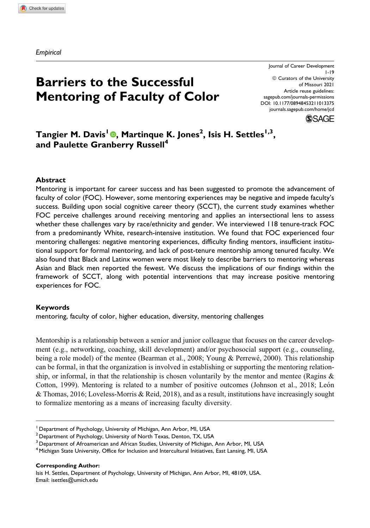*Empirical*

# **Barriers to the Successful Mentoring of Faculty of Color**

Journal of Career Development 1-19  $@$  Curators of the University of Missouri 2021 Article reuse guidelines: sagepub.com/journals-permissions DOI: 10.1177/08948453211013375 journals.sagepub.com/home/jcd



# **Tangier M. Davis<sup>1</sup> , Martinque K. Jones<sup>2</sup> , Isis H. Settles1,3, and Paulette Granberry Russell<sup>4</sup>**

#### **Abstract**

Mentoring is important for career success and has been suggested to promote the advancement of faculty of color (FOC). However, some mentoring experiences may be negative and impede faculty's success. Building upon social cognitive career theory (SCCT), the current study examines whether FOC perceive challenges around receiving mentoring and applies an intersectional lens to assess whether these challenges vary by race/ethnicity and gender. We interviewed 118 tenure-track FOC from a predominantly White, research-intensive institution. We found that FOC experienced four mentoring challenges: negative mentoring experiences, difficulty finding mentors, insufficient institutional support for formal mentoring, and lack of post-tenure mentorship among tenured faculty. We also found that Black and Latinx women were most likely to describe barriers to mentoring whereas Asian and Black men reported the fewest. We discuss the implications of our findings within the framework of SCCT, along with potential interventions that may increase positive mentoring experiences for FOC.

#### **Keywords**

mentoring, faculty of color, higher education, diversity, mentoring challenges

Mentorship is a relationship between a senior and junior colleague that focuses on the career development (e.g., networking, coaching, skill development) and/or psychosocial support (e.g., counseling, being a role model) of the mentee (Bearman et al., 2008; Young & Perrewé, 2000). This relationship can be formal, in that the organization is involved in establishing or supporting the mentoring relationship, or informal, in that the relationship is chosen voluntarily by the mentor and mentee (Ragins  $\&$ Cotton, 1999). Mentoring is related to a number of positive outcomes (Johnson et al., 2018; León & Thomas, 2016; Loveless-Morris & Reid, 2018), and as a result, institutions have increasingly sought to formalize mentoring as a means of increasing faculty diversity.

**Corresponding Author:**

<sup>&</sup>lt;sup>1</sup> Department of Psychology, University of Michigan, Ann Arbor, MI, USA

 $2$  Department of Psychology, University of North Texas, Denton, TX, USA

<sup>&</sup>lt;sup>3</sup> Department of Afroamerican and African Studies, University of Michigan, Ann Arbor, MI, USA

<sup>4</sup>Michigan State University, Office for Inclusion and Intercultural Initiatives, East Lansing, MI, USA

Isis H. Settles, Department of Psychology, University of Michigan, Ann Arbor, MI, 48109, USA. Email: isettles@umich.edu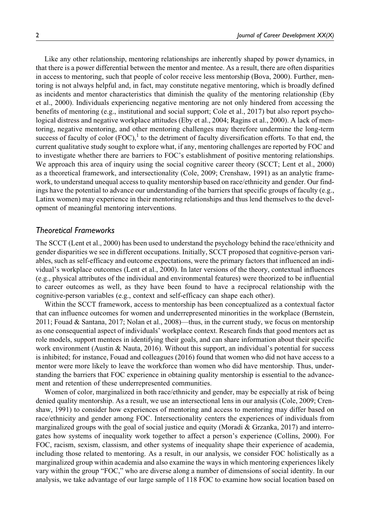Like any other relationship, mentoring relationships are inherently shaped by power dynamics, in that there is a power differential between the mentor and mentee. As a result, there are often disparities in access to mentoring, such that people of color receive less mentorship (Bova, 2000). Further, mentoring is not always helpful and, in fact, may constitute negative mentoring, which is broadly defined as incidents and mentor characteristics that diminish the quality of the mentoring relationship (Eby et al., 2000). Individuals experiencing negative mentoring are not only hindered from accessing the benefits of mentoring (e.g., institutional and social support; Cole et al., 2017) but also report psychological distress and negative workplace attitudes (Eby et al., 2004; Ragins et al., 2000). A lack of mentoring, negative mentoring, and other mentoring challenges may therefore undermine the long-term success of faculty of color  $(FOC)$ , to the detriment of faculty diversification efforts. To that end, the current qualitative study sought to explore what, if any, mentoring challenges are reported by FOC and to investigate whether there are barriers to FOC's establishment of positive mentoring relationships. We approach this area of inquiry using the social cognitive career theory (SCCT; Lent et al., 2000) as a theoretical framework, and intersectionality (Cole, 2009; Crenshaw, 1991) as an analytic framework, to understand unequal access to quality mentorship based on race/ethnicity and gender. Our findings have the potential to advance our understanding of the barriers that specific groups of faculty (e.g., Latinx women) may experience in their mentoring relationships and thus lend themselves to the development of meaningful mentoring interventions.

#### *Theoretical Frameworks*

The SCCT (Lent et al., 2000) has been used to understand the psychology behind the race/ethnicity and gender disparities we see in different occupations. Initially, SCCT proposed that cognitive-person variables, such as self-efficacy and outcome expectations, were the primary factors that influenced an individual's workplace outcomes (Lent et al., 2000). In later versions of the theory, contextual influences (e.g., physical attributes of the individual and environmental features) were theorized to be influential to career outcomes as well, as they have been found to have a reciprocal relationship with the cognitive-person variables (e.g., context and self-efficacy can shape each other).

Within the SCCT framework, access to mentorship has been conceptualized as a contextual factor that can influence outcomes for women and underrepresented minorities in the workplace (Bernstein, 2011; Fouad & Santana, 2017; Nolan et al., 2008)—thus, in the current study, we focus on mentorship as one consequential aspect of individuals' workplace context. Research finds that good mentors act as role models, support mentees in identifying their goals, and can share information about their specific work environment (Austin & Nauta, 2016). Without this support, an individual's potential for success is inhibited; for instance, Fouad and colleagues (2016) found that women who did not have access to a mentor were more likely to leave the workforce than women who did have mentorship. Thus, understanding the barriers that FOC experience in obtaining quality mentorship is essential to the advancement and retention of these underrepresented communities.

Women of color, marginalized in both race/ethnicity and gender, may be especially at risk of being denied quality mentorship. As a result, we use an intersectional lens in our analysis (Cole, 2009; Crenshaw, 1991) to consider how experiences of mentoring and access to mentoring may differ based on race/ethnicity and gender among FOC. Intersectionality centers the experiences of individuals from marginalized groups with the goal of social justice and equity (Moradi & Grzanka, 2017) and interrogates how systems of inequality work together to affect a person's experience (Collins, 2000). For FOC, racism, sexism, classism, and other systems of inequality shape their experience of academia, including those related to mentoring. As a result, in our analysis, we consider FOC holistically as a marginalized group within academia and also examine the ways in which mentoring experiences likely vary within the group "FOC," who are diverse along a number of dimensions of social identity. In our analysis, we take advantage of our large sample of 118 FOC to examine how social location based on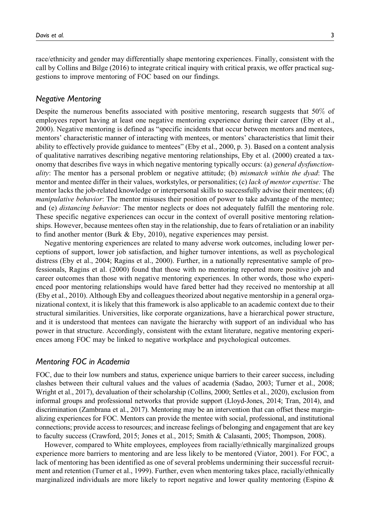race/ethnicity and gender may differentially shape mentoring experiences. Finally, consistent with the call by Collins and Bilge (2016) to integrate critical inquiry with critical praxis, we offer practical suggestions to improve mentoring of FOC based on our findings.

## *Negative Mentoring*

Despite the numerous benefits associated with positive mentoring, research suggests that  $50\%$  of employees report having at least one negative mentoring experience during their career (Eby et al., 2000). Negative mentoring is defined as "specific incidents that occur between mentors and mentees, mentors' characteristic manner of interacting with mentees, or mentors' characteristics that limit their ability to effectively provide guidance to mentees" (Eby et al., 2000, p. 3). Based on a content analysis of qualitative narratives describing negative mentoring relationships, Eby et al. (2000) created a taxonomy that describes five ways in which negative mentoring typically occurs: (a) general dysfunctionality: The mentor has a personal problem or negative attitude; (b) *mismatch within the dyad*: The mentor and mentee differ in their values, workstyles, or personalities; (c) lack of mentor expertise: The mentor lacks the job-related knowledge or interpersonal skills to successfully advise their mentees; (d) manipulative behavior: The mentor misuses their position of power to take advantage of the mentee; and (e) *distancing behavior*: The mentor neglects or does not adequately fulfill the mentoring role. These specific negative experiences can occur in the context of overall positive mentoring relationships. However, because mentees often stay in the relationship, due to fears of retaliation or an inability to find another mentor (Burk & Eby, 2010), negative experiences may persist.

Negative mentoring experiences are related to many adverse work outcomes, including lower perceptions of support, lower job satisfaction, and higher turnover intentions, as well as psychological distress (Eby et al., 2004; Ragins et al., 2000). Further, in a nationally representative sample of professionals, Ragins et al. (2000) found that those with no mentoring reported more positive job and career outcomes than those with negative mentoring experiences. In other words, those who experienced poor mentoring relationships would have fared better had they received no mentorship at all (Eby et al., 2010). Although Eby and colleagues theorized about negative mentorship in a general organizational context, it is likely that this framework is also applicable to an academic context due to their structural similarities. Universities, like corporate organizations, have a hierarchical power structure, and it is understood that mentees can navigate the hierarchy with support of an individual who has power in that structure. Accordingly, consistent with the extant literature, negative mentoring experiences among FOC may be linked to negative workplace and psychological outcomes.

#### *Mentoring FOC in Academia*

FOC, due to their low numbers and status, experience unique barriers to their career success, including clashes between their cultural values and the values of academia (Sadao, 2003; Turner et al., 2008; Wright et al., 2017), devaluation of their scholarship (Collins, 2000; Settles et al., 2020), exclusion from informal groups and professional networks that provide support (Lloyd-Jones, 2014; Tran, 2014), and discrimination (Zambrana et al., 2017). Mentoring may be an intervention that can offset these marginalizing experiences for FOC. Mentors can provide the mentee with social, professional, and institutional connections; provide access to resources; and increase feelings of belonging and engagement that are key to faculty success (Crawford, 2015; Jones et al., 2015; Smith & Calasanti, 2005; Thompson, 2008).

However, compared to White employees, employees from racially/ethnically marginalized groups experience more barriers to mentoring and are less likely to be mentored (Viator, 2001). For FOC, a lack of mentoring has been identified as one of several problems undermining their successful recruitment and retention (Turner et al., 1999). Further, even when mentoring takes place, racially/ethnically marginalized individuals are more likely to report negative and lower quality mentoring (Espino &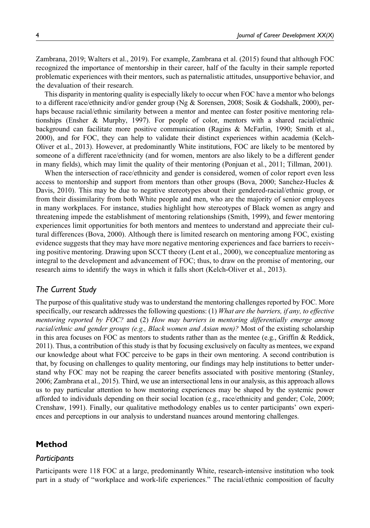Zambrana, 2019; Walters et al., 2019). For example, Zambrana et al. (2015) found that although FOC recognized the importance of mentorship in their career, half of the faculty in their sample reported problematic experiences with their mentors, such as paternalistic attitudes, unsupportive behavior, and the devaluation of their research.

This disparity in mentoring quality is especially likely to occur when FOC have a mentor who belongs to a different race/ethnicity and/or gender group (Ng & Sorensen, 2008; Sosik & Godshalk, 2000), perhaps because racial/ethnic similarity between a mentor and mentee can foster positive mentoring relationships (Ensher & Murphy, 1997). For people of color, mentors with a shared racial/ethnic background can facilitate more positive communication (Ragins & McFarlin, 1990; Smith et al., 2000), and for FOC, they can help to validate their distinct experiences within academia (Kelch-Oliver et al., 2013). However, at predominantly White institutions, FOC are likely to be mentored by someone of a different race/ethnicity (and for women, mentors are also likely to be a different gender in many fields), which may limit the quality of their mentoring (Ponjuan et al., 2011; Tillman, 2001).

When the intersection of race/ethnicity and gender is considered, women of color report even less access to mentorship and support from mentors than other groups (Bova, 2000; Sanchez-Hucles  $\&$ Davis, 2010). This may be due to negative stereotypes about their gendered-racial/ethnic group, or from their dissimilarity from both White people and men, who are the majority of senior employees in many workplaces. For instance, studies highlight how stereotypes of Black women as angry and threatening impede the establishment of mentoring relationships (Smith, 1999), and fewer mentoring experiences limit opportunities for both mentors and mentees to understand and appreciate their cultural differences (Bova, 2000). Although there is limited research on mentoring among FOC, existing evidence suggests that they may have more negative mentoring experiences and face barriers to receiving positive mentoring. Drawing upon SCCT theory (Lent et al., 2000), we conceptualize mentoring as integral to the development and advancement of FOC; thus, to draw on the promise of mentoring, our research aims to identify the ways in which it falls short (Kelch-Oliver et al., 2013).

#### *The Current Study*

The purpose of this qualitative study was to understand the mentoring challenges reported by FOC. More specifically, our research addresses the following questions:  $(1)$  What are the barriers, if any, to effective mentoring reported by FOC? and (2) How may barriers in mentoring differentially emerge among racial/ethnic and gender groups (e.g., Black women and Asian men)? Most of the existing scholarship in this area focuses on FOC as mentors to students rather than as the mentee (e.g., Griffin & Reddick, 2011). Thus, a contribution of this study is that by focusing exclusively on faculty as mentees, we expand our knowledge about what FOC perceive to be gaps in their own mentoring. A second contribution is that, by focusing on challenges to quality mentoring, our findings may help institutions to better understand why FOC may not be reaping the career benefits associated with positive mentoring (Stanley, 2006; Zambrana et al., 2015). Third, we use an intersectional lens in our analysis, as this approach allows us to pay particular attention to how mentoring experiences may be shaped by the systemic power afforded to individuals depending on their social location (e.g., race/ethnicity and gender; Cole, 2009; Crenshaw, 1991). Finally, our qualitative methodology enables us to center participants' own experiences and perceptions in our analysis to understand nuances around mentoring challenges.

### **Method**

#### *Participants*

Participants were 118 FOC at a large, predominantly White, research-intensive institution who took part in a study of "workplace and work-life experiences." The racial/ethnic composition of faculty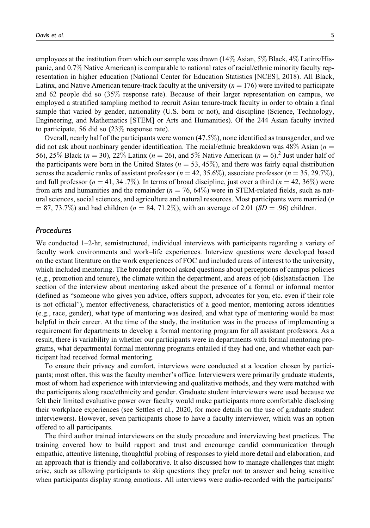employees at the institution from which our sample was drawn  $(14\%$  Asian,  $5\%$  Black,  $4\%$  Latinx/Hispanic, and 0.7% Native American) is comparable to national rates of racial/ethnic minority faculty representation in higher education (National Center for Education Statistics [NCES], 2018). All Black, Latinx, and Native American tenure-track faculty at the university  $(n = 176)$  were invited to participate and 62 people did so (35% response rate). Because of their larger representation on campus, we employed a stratified sampling method to recruit Asian tenure-track faculty in order to obtain a final sample that varied by gender, nationality (U.S. born or not), and discipline (Science, Technology, Engineering, and Mathematics [STEM] or Arts and Humanities). Of the 244 Asian faculty invited to participate, 56 did so (23% response rate).

Overall, nearly half of the participants were women (47.5%), none identified as transgender, and we did not ask about nonbinary gender identification. The racial/ethnic breakdown was 48% Asian ( $n =$ 56), 25% Black ( $n = 30$ ), 22% Latinx ( $n = 26$ ), and 5% Native American ( $n = 6$ ).<sup>2</sup> Just under half of the participants were born in the United States ( $n = 53, 45\%$ ), and there was fairly equal distribution across the academic ranks of assistant professor ( $n = 42, 35.6\%$ ), associate professor ( $n = 35, 29.7\%$ ), and full professor ( $n = 41, 34, 7\%$ ). In terms of broad discipline, just over a third ( $n = 42, 36\%$ ) were from arts and humanities and the remainder ( $n = 76, 64\%$ ) were in STEM-related fields, such as natural sciences, social sciences, and agriculture and natural resources. Most participants were married  $(n)$  $= 87, 73.7\%$ ) and had children (n = 84, 71.2%), with an average of 2.01 (SD = .96) children.

#### *Procedures*

We conducted 1–2-hr, semistructured, individual interviews with participants regarding a variety of faculty work environments and work–life experiences. Interview questions were developed based on the extant literature on the work experiences of FOC and included areas of interest to the university, which included mentoring. The broader protocol asked questions about perceptions of campus policies (e.g., promotion and tenure), the climate within the department, and areas of job (dis)satisfaction. The section of the interview about mentoring asked about the presence of a formal or informal mentor (defined as "someone who gives you advice, offers support, advocates for you, etc. even if their role is not official"), mentor effectiveness, characteristics of a good mentor, mentoring across identities (e.g., race, gender), what type of mentoring was desired, and what type of mentoring would be most helpful in their career. At the time of the study, the institution was in the process of implementing a requirement for departments to develop a formal mentoring program for all assistant professors. As a result, there is variability in whether our participants were in departments with formal mentoring programs, what departmental formal mentoring programs entailed if they had one, and whether each participant had received formal mentoring.

To ensure their privacy and comfort, interviews were conducted at a location chosen by participants; most often, this was the faculty member's office. Interviewers were primarily graduate students, most of whom had experience with interviewing and qualitative methods, and they were matched with the participants along race/ethnicity and gender. Graduate student interviewers were used because we felt their limited evaluative power over faculty would make participants more comfortable disclosing their workplace experiences (see Settles et al., 2020, for more details on the use of graduate student interviewers). However, seven participants chose to have a faculty interviewer, which was an option offered to all participants.

The third author trained interviewers on the study procedure and interviewing best practices. The training covered how to build rapport and trust and encourage candid communication through empathic, attentive listening, thoughtful probing of responses to yield more detail and elaboration, and an approach that is friendly and collaborative. It also discussed how to manage challenges that might arise, such as allowing participants to skip questions they prefer not to answer and being sensitive when participants display strong emotions. All interviews were audio-recorded with the participants'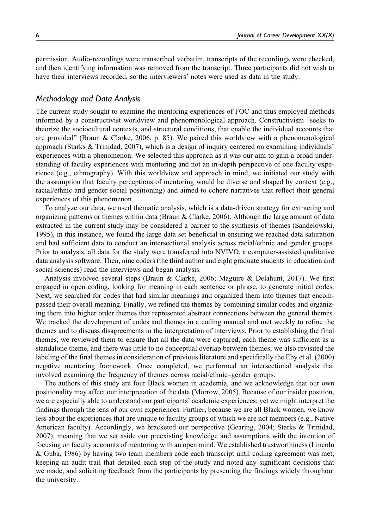permission. Audio-recordings were transcribed verbatim, transcripts of the recordings were checked, and then identifying information was removed from the transcript. Three participants did not wish to have their interviews recorded, so the interviewers' notes were used as data in the study.

#### *Methodology and Data Analysis*

The current study sought to examine the mentoring experiences of FOC and thus employed methods informed by a constructivist worldview and phenomenological approach. Constructivism "seeks to theorize the sociocultural contexts, and structural conditions, that enable the individual accounts that are provided" (Braun & Clarke, 2006, p. 85). We paired this worldview with a phenomenological approach (Starks & Trinidad, 2007), which is a design of inquiry centered on examining individuals' experiences with a phenomenon. We selected this approach as it was our aim to gain a broad understanding of faculty experiences with mentoring and not an in-depth perspective of one faculty experience (e.g., ethnography). With this worldview and approach in mind, we initiated our study with the assumption that faculty perceptions of mentoring would be diverse and shaped by context (e.g., racial/ethnic and gender social positioning) and aimed to cohere narratives that reflect their general experiences of this phenomenon.

To analyze our data, we used thematic analysis, which is a data-driven strategy for extracting and organizing patterns or themes within data (Braun & Clarke, 2006). Although the large amount of data extracted in the current study may be considered a barrier to the synthesis of themes (Sandelowski, 1995), in this instance, we found the large data set beneficial in ensuring we reached data saturation and had sufficient data to conduct an intersectional analysis across racial/ethnic and gender groups. Prior to analysis, all data for the study were transferred into NVIVO, a computer-assisted qualitative data analysis software. Then, nine coders (the third author and eight graduate students in education and social sciences) read the interviews and began analysis.

Analysis involved several steps (Braun & Clarke, 2006; Maguire & Delahunt, 2017). We first engaged in open coding, looking for meaning in each sentence or phrase, to generate initial codes. Next, we searched for codes that had similar meanings and organized them into themes that encompassed their overall meaning. Finally, we refined the themes by combining similar codes and organizing them into higher order themes that represented abstract connections between the general themes. We tracked the development of codes and themes in a coding manual and met weekly to refine the themes and to discuss disagreements in the interpretation of interviews. Prior to establishing the final themes, we reviewed them to ensure that all the data were captured, each theme was sufficient as a standalone theme, and there was little to no conceptual overlap between themes; we also revisited the labeling of the final themes in consideration of previous literature and specifically the Eby et al. (2000) negative mentoring framework. Once completed, we performed an intersectional analysis that involved examining the frequency of themes across racial/ethnic–gender groups.

The authors of this study are four Black women in academia, and we acknowledge that our own positionality may affect our interpretation of the data (Morrow, 2005). Because of our insider position, we are especially able to understand our participants' academic experiences; yet we might interpret the findings through the lens of our own experiences. Further, because we are all Black women, we know less about the experiences that are unique to faculty groups of which we are not members (e.g., Native American faculty). Accordingly, we bracketed our perspective (Gearing, 2004; Starks & Trinidad, 2007), meaning that we set aside our preexisting knowledge and assumptions with the intention of focusing on faculty accounts of mentoring with an open mind. We established trustworthiness (Lincoln & Guba, 1986) by having two team members code each transcript until coding agreement was met, keeping an audit trail that detailed each step of the study and noted any significant decisions that we made, and soliciting feedback from the participants by presenting the findings widely throughout the university.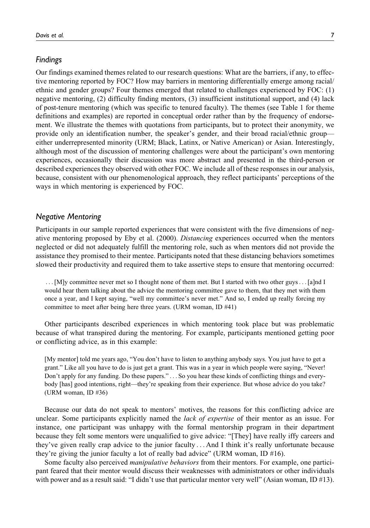#### *Findings*

Our findings examined themes related to our research questions: What are the barriers, if any, to effective mentoring reported by FOC? How may barriers in mentoring differentially emerge among racial/ ethnic and gender groups? Four themes emerged that related to challenges experienced by FOC: (1) negative mentoring, (2) difficulty finding mentors, (3) insufficient institutional support, and (4) lack of post-tenure mentoring (which was specific to tenured faculty). The themes (see Table 1 for theme definitions and examples) are reported in conceptual order rather than by the frequency of endorsement. We illustrate the themes with quotations from participants, but to protect their anonymity, we provide only an identification number, the speaker's gender, and their broad racial/ethnic group either underrepresented minority (URM; Black, Latinx, or Native American) or Asian. Interestingly, although most of the discussion of mentoring challenges were about the participant's own mentoring experiences, occasionally their discussion was more abstract and presented in the third-person or described experiences they observed with other FOC. We include all of these responses in our analysis, because, consistent with our phenomenological approach, they reflect participants' perceptions of the ways in which mentoring is experienced by FOC.

## *Negative Mentoring*

Participants in our sample reported experiences that were consistent with the five dimensions of negative mentoring proposed by Eby et al. (2000). *Distancing* experiences occurred when the mentors neglected or did not adequately fulfill the mentoring role, such as when mentors did not provide the assistance they promised to their mentee. Participants noted that these distancing behaviors sometimes slowed their productivity and required them to take assertive steps to ensure that mentoring occurred:

... [M]y committee never met so I thought none of them met. But I started with two other guys...[a]nd I would hear them talking about the advice the mentoring committee gave to them, that they met with them once a year, and I kept saying, "well my committee's never met." And so, I ended up really forcing my committee to meet after being here three years. (URM woman, ID #41)

Other participants described experiences in which mentoring took place but was problematic because of what transpired during the mentoring. For example, participants mentioned getting poor or conflicting advice, as in this example:

[My mentor] told me years ago, "You don't have to listen to anything anybody says. You just have to get a grant." Like all you have to do is just get a grant. This was in a year in which people were saying, "Never! Don't apply for any funding. Do these papers." ... So you hear these kinds of conflicting things and everybody [has] good intentions, right—they're speaking from their experience. But whose advice do you take? (URM woman, ID #36)

Because our data do not speak to mentors' motives, the reasons for this conflicting advice are unclear. Some participants explicitly named the *lack of expertise* of their mentor as an issue. For instance, one participant was unhappy with the formal mentorship program in their department because they felt some mentors were unqualified to give advice: "[They] have really iffy careers and they've given really crap advice to the junior faculty ... And I think it's really unfortunate because they're giving the junior faculty a lot of really bad advice" (URM woman, ID #16).

Some faculty also perceived manipulative behaviors from their mentors. For example, one participant feared that their mentor would discuss their weaknesses with administrators or other individuals with power and as a result said: "I didn't use that particular mentor very well" (Asian woman, ID #13).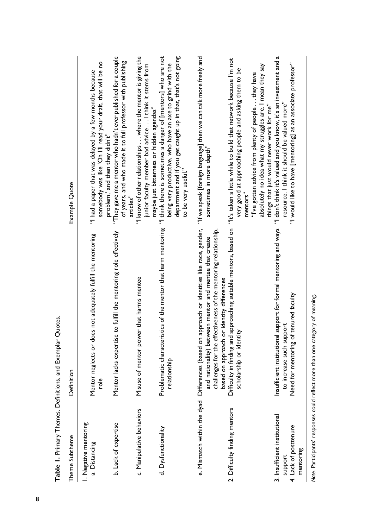| Theme Subtheme                                                                 | Definition                                                                                                                                                                                                                                | Example Quote                                                                                                                                                                                                                 |
|--------------------------------------------------------------------------------|-------------------------------------------------------------------------------------------------------------------------------------------------------------------------------------------------------------------------------------------|-------------------------------------------------------------------------------------------------------------------------------------------------------------------------------------------------------------------------------|
| I. Negative mentoring<br>a. Distancing                                         | Mentor neglects or does not adequately fulfill the mentoring<br>ple                                                                                                                                                                       | somebody was like 'Oh I'll read your draft, that will be no<br>"I had a paper that was delayed by a few months because<br>problem,' and then they didn't"                                                                     |
| b. Lack of expertise                                                           | Mentor lacks expertise to fulfill the mentoring role effectively                                                                                                                                                                          | "They gave me a mentor who hadn't ever published for a couple<br>of years, and who made it to full professor with publishing<br>articles"                                                                                     |
| c. Manipulative behaviors                                                      | Misuse of mentor power that harms mentee                                                                                                                                                                                                  | "I know of other relationships where the mentor is giving the<br>junior faculty member bad advice  I think it stems from<br>maybe just bitterness or hidden agendas"                                                          |
| d. Dysfunctionality                                                            | Problematic characteristics of the mentor that harm mentoring<br>relationship                                                                                                                                                             | "I think there is sometimes a danger of [mentors] who are not<br>department and if you get caught up in that, that's not going<br>being very productive, who have an axe to grind with the<br>to be very useful."             |
| e. Mismatch within the dyad                                                    | Differences (based on approach or identities like race, gender,<br>challenges for the effectiveness of the mentoring relationship,<br>and nationality) between mentor and mentee that create<br>based on approach or identity differences | "If we speak [foreign language] then we can talk more freely and<br>sometimes in more depth"                                                                                                                                  |
| 2. Difficulty finding mentors                                                  | Difficulty in finding and approaching suitable mentors, based on "It's taken a little while to build that network because I'm not<br>scholarship or identity                                                                              | absolutely no idea what my struggles are. I mean they say<br>very good at approaching people and asking them to be<br>"I've gotten advice from plenty of people  they have<br>mentors"                                        |
| 3. Insufficient institutional<br>4. Lack of posttenure<br>mentoring<br>support | icient institutional support for formal mentoring and ways<br>for mentoring of tenured faculty<br>to increase such support<br>Insuffi<br>Need                                                                                             | "I don't think it's valued and you know, it's an investment and a<br>"I would like to have [mentoring] as an associate professor"<br>resource. I think it should be valued more"<br>things that just would never work for me" |
|                                                                                | Note. Participants' responses could reflect more than one category of meaning.                                                                                                                                                            |                                                                                                                                                                                                                               |

Table 1. Primary Themes, Definitions, and Exemplar Quotes. **Table 1.** Primary Themes, Definitions, and Exemplar Quotes.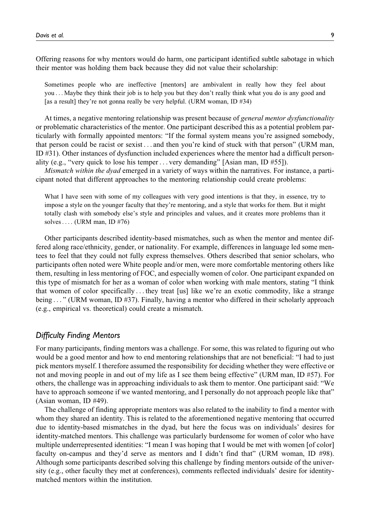Offering reasons for why mentors would do harm, one participant identified subtle sabotage in which their mentor was holding them back because they did not value their scholarship:

Sometimes people who are ineffective [mentors] are ambivalent in really how they feel about you ... Maybe they think their job is to help you but they don't really think what you do is any good and [as a result] they're not gonna really be very helpful. (URM woman, ID #34)

At times, a negative mentoring relationship was present because of *general mentor dysfunctionality* or problematic characteristics of the mentor. One participant described this as a potential problem particularly with formally appointed mentors: "If the formal system means you're assigned somebody, that person could be racist or sexist ... and then you're kind of stuck with that person" (URM man, ID #31). Other instances of dysfunction included experiences where the mentor had a difficult personality (e.g., "very quick to lose his temper ... very demanding" [Asian man, ID #55]).

Mismatch within the dyad emerged in a variety of ways within the narratives. For instance, a participant noted that different approaches to the mentoring relationship could create problems:

What I have seen with some of my colleagues with very good intentions is that they, in essence, try to impose a style on the younger faculty that they're mentoring, and a style that works for them. But it might totally clash with somebody else's style and principles and values, and it creates more problems than it solves.... (URM man, ID  $#76$ )

Other participants described identity-based mismatches, such as when the mentor and mentee differed along race/ethnicity, gender, or nationality. For example, differences in language led some mentees to feel that they could not fully express themselves. Others described that senior scholars, who participants often noted were White people and/or men, were more comfortable mentoring others like them, resulting in less mentoring of FOC, and especially women of color. One participant expanded on this type of mismatch for her as a woman of color when working with male mentors, stating "I think that women of color specifically ... they treat [us] like we're an exotic commodity, like a strange being ... " (URM woman, ID #37). Finally, having a mentor who differed in their scholarly approach (e.g., empirical vs. theoretical) could create a mismatch.

#### *Difficulty Finding Mentors*

For many participants, finding mentors was a challenge. For some, this was related to figuring out who would be a good mentor and how to end mentoring relationships that are not beneficial: "I had to just pick mentors myself. I therefore assumed the responsibility for deciding whether they were effective or not and moving people in and out of my life as I see them being effective" (URM man, ID #57). For others, the challenge was in approaching individuals to ask them to mentor. One participant said: "We have to approach someone if we wanted mentoring, and I personally do not approach people like that" (Asian woman, ID #49).

The challenge of finding appropriate mentors was also related to the inability to find a mentor with whom they shared an identity. This is related to the aforementioned negative mentoring that occurred due to identity-based mismatches in the dyad, but here the focus was on individuals' desires for identity-matched mentors. This challenge was particularly burdensome for women of color who have multiple underrepresented identities: "I mean I was hoping that I would be met with women [of color] faculty on-campus and they'd serve as mentors and I didn't find that" (URM woman, ID #98). Although some participants described solving this challenge by finding mentors outside of the university (e.g., other faculty they met at conferences), comments reflected individuals' desire for identitymatched mentors within the institution.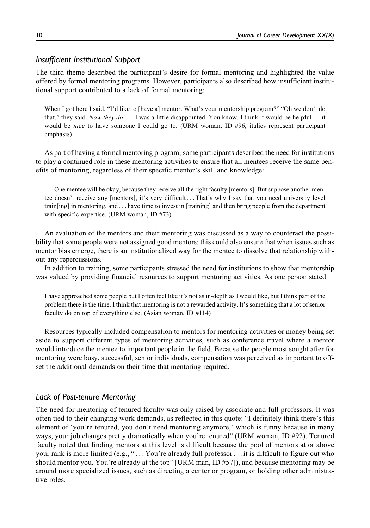#### *Insufficient Institutional Support*

The third theme described the participant's desire for formal mentoring and highlighted the value offered by formal mentoring programs. However, participants also described how insufficient institutional support contributed to a lack of formal mentoring:

When I got here I said, "I'd like to [have a] mentor. What's your mentorship program?" "Oh we don't do that," they said. Now they do! ... I was a little disappointed. You know, I think it would be helpful ... it would be nice to have someone I could go to. (URM woman, ID #96, italics represent participant emphasis)

As part of having a formal mentoring program, some participants described the need for institutions to play a continued role in these mentoring activities to ensure that all mentees receive the same benefits of mentoring, regardless of their specific mentor's skill and knowledge:

... One mentee will be okay, because they receive all the right faculty [mentors]. But suppose another mentee doesn't receive any [mentors], it's very difficult ... That's why I say that you need university level train[ing] in mentoring, and ... have time to invest in [training] and then bring people from the department with specific expertise. (URM woman, ID #73)

An evaluation of the mentors and their mentoring was discussed as a way to counteract the possibility that some people were not assigned good mentors; this could also ensure that when issues such as mentor bias emerge, there is an institutionalized way for the mentee to dissolve that relationship without any repercussions.

In addition to training, some participants stressed the need for institutions to show that mentorship was valued by providing financial resources to support mentoring activities. As one person stated:

I have approached some people but I often feel like it's not as in-depth as I would like, but I think part of the problem there is the time. I think that mentoring is not a rewarded activity. It's something that a lot of senior faculty do on top of everything else. (Asian woman, ID #114)

Resources typically included compensation to mentors for mentoring activities or money being set aside to support different types of mentoring activities, such as conference travel where a mentor would introduce the mentee to important people in the field. Because the people most sought after for mentoring were busy, successful, senior individuals, compensation was perceived as important to offset the additional demands on their time that mentoring required.

# *Lack of Post-tenure Mentoring*

The need for mentoring of tenured faculty was only raised by associate and full professors. It was often tied to their changing work demands, as reflected in this quote: "I definitely think there's this element of 'you're tenured, you don't need mentoring anymore,' which is funny because in many ways, your job changes pretty dramatically when you're tenured" (URM woman, ID #92). Tenured faculty noted that finding mentors at this level is difficult because the pool of mentors at or above your rank is more limited (e.g., "... You're already full professor ... it is difficult to figure out who should mentor you. You're already at the top" [URM man, ID #57]), and because mentoring may be around more specialized issues, such as directing a center or program, or holding other administrative roles.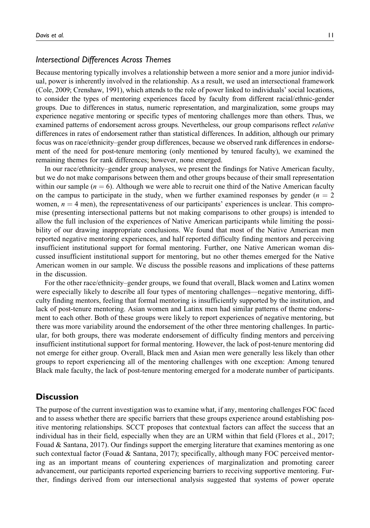#### *Intersectional Differences Across Themes*

Because mentoring typically involves a relationship between a more senior and a more junior individual, power is inherently involved in the relationship. As a result, we used an intersectional framework (Cole, 2009; Crenshaw, 1991), which attends to the role of power linked to individuals' social locations, to consider the types of mentoring experiences faced by faculty from different racial/ethnic-gender groups. Due to differences in status, numeric representation, and marginalization, some groups may experience negative mentoring or specific types of mentoring challenges more than others. Thus, we examined patterns of endorsement across groups. Nevertheless, our group comparisons reflect *relative* differences in rates of endorsement rather than statistical differences. In addition, although our primary focus was on race/ethnicity–gender group differences, because we observed rank differences in endorsement of the need for post-tenure mentoring (only mentioned by tenured faculty), we examined the remaining themes for rank differences; however, none emerged.

In our race/ethnicity–gender group analyses, we present the findings for Native American faculty, but we do not make comparisons between them and other groups because of their small representation within our sample ( $n = 6$ ). Although we were able to recruit one third of the Native American faculty on the campus to participate in the study, when we further examined responses by gender ( $n = 2$ ) women,  $n = 4$  men), the representativeness of our participants' experiences is unclear. This compromise (presenting intersectional patterns but not making comparisons to other groups) is intended to allow the full inclusion of the experiences of Native American participants while limiting the possibility of our drawing inappropriate conclusions. We found that most of the Native American men reported negative mentoring experiences, and half reported difficulty finding mentors and perceiving insufficient institutional support for formal mentoring. Further, one Native American woman discussed insufficient institutional support for mentoring, but no other themes emerged for the Native American women in our sample. We discuss the possible reasons and implications of these patterns in the discussion.

For the other race/ethnicity–gender groups, we found that overall, Black women and Latinx women were especially likely to describe all four types of mentoring challenges—negative mentoring, difficulty finding mentors, feeling that formal mentoring is insufficiently supported by the institution, and lack of post-tenure mentoring. Asian women and Latinx men had similar patterns of theme endorsement to each other. Both of these groups were likely to report experiences of negative mentoring, but there was more variability around the endorsement of the other three mentoring challenges. In particular, for both groups, there was moderate endorsement of difficulty finding mentors and perceiving insufficient institutional support for formal mentoring. However, the lack of post-tenure mentoring did not emerge for either group. Overall, Black men and Asian men were generally less likely than other groups to report experiencing all of the mentoring challenges with one exception: Among tenured Black male faculty, the lack of post-tenure mentoring emerged for a moderate number of participants.

#### **Discussion**

The purpose of the current investigation was to examine what, if any, mentoring challenges FOC faced and to assess whether there are specific barriers that these groups experience around establishing positive mentoring relationships. SCCT proposes that contextual factors can affect the success that an individual has in their field, especially when they are an URM within that field (Flores et al., 2017; Fouad & Santana, 2017). Our findings support the emerging literature that examines mentoring as one such contextual factor (Fouad  $\&$  Santana, 2017); specifically, although many FOC perceived mentoring as an important means of countering experiences of marginalization and promoting career advancement, our participants reported experiencing barriers to receiving supportive mentoring. Further, findings derived from our intersectional analysis suggested that systems of power operate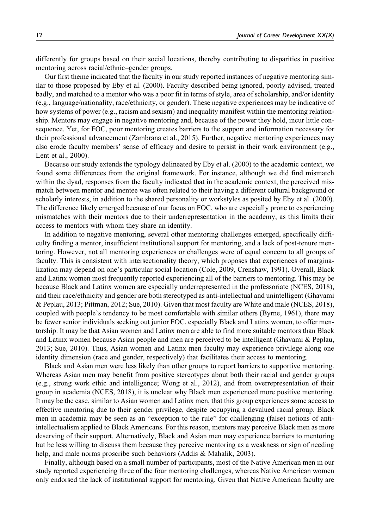differently for groups based on their social locations, thereby contributing to disparities in positive mentoring across racial/ethnic–gender groups.

Our first theme indicated that the faculty in our study reported instances of negative mentoring similar to those proposed by Eby et al. (2000). Faculty described being ignored, poorly advised, treated badly, and matched to a mentor who was a poor fit in terms of style, area of scholarship, and/or identity (e.g., language/nationality, race/ethnicity, or gender). These negative experiences may be indicative of how systems of power (e.g., racism and sexism) and inequality manifest within the mentoring relationship. Mentors may engage in negative mentoring and, because of the power they hold, incur little consequence. Yet, for FOC, poor mentoring creates barriers to the support and information necessary for their professional advancement (Zambrana et al., 2015). Further, negative mentoring experiences may also erode faculty members' sense of efficacy and desire to persist in their work environment (e.g., Lent et al., 2000).

Because our study extends the typology delineated by Eby et al. (2000) to the academic context, we found some differences from the original framework. For instance, although we did find mismatch within the dyad, responses from the faculty indicated that in the academic context, the perceived mismatch between mentor and mentee was often related to their having a different cultural background or scholarly interests, in addition to the shared personality or workstyles as posited by Eby et al. (2000). The difference likely emerged because of our focus on FOC, who are especially prone to experiencing mismatches with their mentors due to their underrepresentation in the academy, as this limits their access to mentors with whom they share an identity.

In addition to negative mentoring, several other mentoring challenges emerged, specifically difficulty finding a mentor, insufficient institutional support for mentoring, and a lack of post-tenure mentoring. However, not all mentoring experiences or challenges were of equal concern to all groups of faculty. This is consistent with intersectionality theory, which proposes that experiences of marginalization may depend on one's particular social location (Cole, 2009, Crenshaw, 1991). Overall, Black and Latinx women most frequently reported experiencing all of the barriers to mentoring. This may be because Black and Latinx women are especially underrepresented in the professoriate (NCES, 2018), and their race/ethnicity and gender are both stereotyped as anti-intellectual and unintelligent (Ghavami & Peplau, 2013; Pittman, 2012; Sue, 2010). Given that most faculty are White and male (NCES, 2018), coupled with people's tendency to be most comfortable with similar others (Byrne, 1961), there may be fewer senior individuals seeking out junior FOC, especially Black and Latinx women, to offer mentorship. It may be that Asian women and Latinx men are able to find more suitable mentors than Black and Latinx women because Asian people and men are perceived to be intelligent (Ghavami & Peplau, 2013; Sue, 2010). Thus, Asian women and Latinx men faculty may experience privilege along one identity dimension (race and gender, respectively) that facilitates their access to mentoring.

Black and Asian men were less likely than other groups to report barriers to supportive mentoring. Whereas Asian men may benefit from positive stereotypes about both their racial and gender groups (e.g., strong work ethic and intelligence; Wong et al., 2012), and from overrepresentation of their group in academia (NCES, 2018), it is unclear why Black men experienced more positive mentoring. It may be the case, similar to Asian women and Latinx men, that this group experiences some access to effective mentoring due to their gender privilege, despite occupying a devalued racial group. Black men in academia may be seen as an "exception to the rule" for challenging (false) notions of antiintellectualism applied to Black Americans. For this reason, mentors may perceive Black men as more deserving of their support. Alternatively, Black and Asian men may experience barriers to mentoring but be less willing to discuss them because they perceive mentoring as a weakness or sign of needing help, and male norms proscribe such behaviors (Addis & Mahalik, 2003).

Finally, although based on a small number of participants, most of the Native American men in our study reported experiencing three of the four mentoring challenges, whereas Native American women only endorsed the lack of institutional support for mentoring. Given that Native American faculty are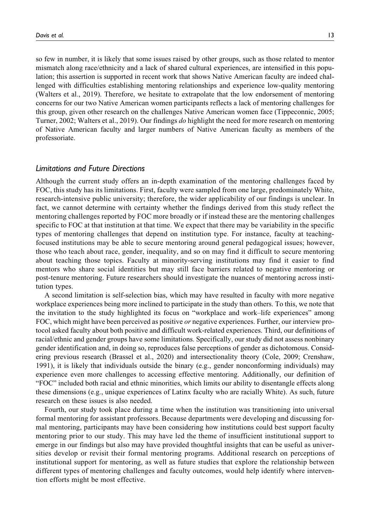so few in number, it is likely that some issues raised by other groups, such as those related to mentor mismatch along race/ethnicity and a lack of shared cultural experiences, are intensified in this population; this assertion is supported in recent work that shows Native American faculty are indeed challenged with difficulties establishing mentoring relationships and experience low-quality mentoring (Walters et al., 2019). Therefore, we hesitate to extrapolate that the low endorsement of mentoring concerns for our two Native American women participants reflects a lack of mentoring challenges for this group, given other research on the challenges Native American women face (Tippeconnic, 2005; Turner, 2002; Walters et al., 2019). Our findings do highlight the need for more research on mentoring of Native American faculty and larger numbers of Native American faculty as members of the professoriate.

# *Limitations and Future Directions*

Although the current study offers an in-depth examination of the mentoring challenges faced by FOC, this study has its limitations. First, faculty were sampled from one large, predominately White, research-intensive public university; therefore, the wider applicability of our findings is unclear. In fact, we cannot determine with certainty whether the findings derived from this study reflect the mentoring challenges reported by FOC more broadly or if instead these are the mentoring challenges specific to FOC at that institution at that time. We expect that there may be variability in the specific types of mentoring challenges that depend on institution type. For instance, faculty at teachingfocused institutions may be able to secure mentoring around general pedagogical issues; however, those who teach about race, gender, inequality, and so on may find it difficult to secure mentoring about teaching those topics. Faculty at minority-serving institutions may find it easier to find mentors who share social identities but may still face barriers related to negative mentoring or post-tenure mentoring. Future researchers should investigate the nuances of mentoring across institution types.

A second limitation is self-selection bias, which may have resulted in faculty with more negative workplace experiences being more inclined to participate in the study than others. To this, we note that the invitation to the study highlighted its focus on "workplace and work–life experiences" among FOC, which might have been perceived as positive *or* negative experiences. Further, our interview protocol asked faculty about both positive and difficult work-related experiences. Third, our definitions of racial/ethnic and gender groups have some limitations. Specifically, our study did not assess nonbinary gender identification and, in doing so, reproduces false perceptions of gender as dichotomous. Considering previous research (Brassel et al., 2020) and intersectionality theory (Cole, 2009; Crenshaw, 1991), it is likely that individuals outside the binary (e.g., gender nonconforming individuals) may experience even more challenges to accessing effective mentoring. Additionally, our definition of "FOC" included both racial and ethnic minorities, which limits our ability to disentangle effects along these dimensions (e.g., unique experiences of Latinx faculty who are racially White). As such, future research on these issues is also needed.

Fourth, our study took place during a time when the institution was transitioning into universal formal mentoring for assistant professors. Because departments were developing and discussing formal mentoring, participants may have been considering how institutions could best support faculty mentoring prior to our study. This may have led the theme of insufficient institutional support to emerge in our findings but also may have provided thoughtful insights that can be useful as universities develop or revisit their formal mentoring programs. Additional research on perceptions of institutional support for mentoring, as well as future studies that explore the relationship between different types of mentoring challenges and faculty outcomes, would help identify where intervention efforts might be most effective.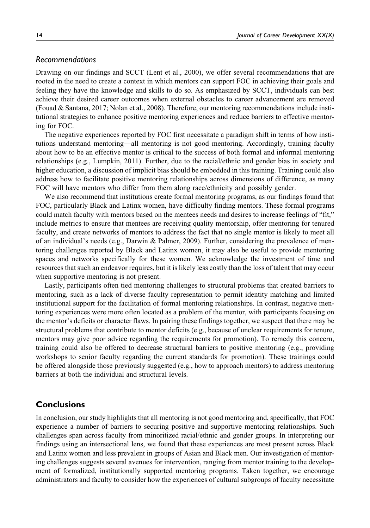#### *Recommendations*

Drawing on our findings and SCCT (Lent et al., 2000), we offer several recommendations that are rooted in the need to create a context in which mentors can support FOC in achieving their goals and feeling they have the knowledge and skills to do so. As emphasized by SCCT, individuals can best achieve their desired career outcomes when external obstacles to career advancement are removed (Fouad & Santana, 2017; Nolan et al., 2008). Therefore, our mentoring recommendations include institutional strategies to enhance positive mentoring experiences and reduce barriers to effective mentoring for FOC.

The negative experiences reported by FOC first necessitate a paradigm shift in terms of how institutions understand mentoring—all mentoring is not good mentoring. Accordingly, training faculty about how to be an effective mentor is critical to the success of both formal and informal mentoring relationships (e.g., Lumpkin, 2011). Further, due to the racial/ethnic and gender bias in society and higher education, a discussion of implicit bias should be embedded in this training. Training could also address how to facilitate positive mentoring relationships across dimensions of difference, as many FOC will have mentors who differ from them along race/ethnicity and possibly gender.

We also recommend that institutions create formal mentoring programs, as our findings found that FOC, particularly Black and Latinx women, have difficulty finding mentors. These formal programs could match faculty with mentors based on the mentees needs and desires to increase feelings of "fit," include metrics to ensure that mentees are receiving quality mentorship, offer mentoring for tenured faculty, and create networks of mentors to address the fact that no single mentor is likely to meet all of an individual's needs (e.g., Darwin & Palmer, 2009). Further, considering the prevalence of mentoring challenges reported by Black and Latinx women, it may also be useful to provide mentoring spaces and networks specifically for these women. We acknowledge the investment of time and resources that such an endeavor requires, but it is likely less costly than the loss of talent that may occur when supportive mentoring is not present.

Lastly, participants often tied mentoring challenges to structural problems that created barriers to mentoring, such as a lack of diverse faculty representation to permit identity matching and limited institutional support for the facilitation of formal mentoring relationships. In contrast, negative mentoring experiences were more often located as a problem of the mentor, with participants focusing on the mentor's deficits or character flaws. In pairing these findings together, we suspect that there may be structural problems that contribute to mentor deficits (e.g., because of unclear requirements for tenure, mentors may give poor advice regarding the requirements for promotion). To remedy this concern, training could also be offered to decrease structural barriers to positive mentoring (e.g., providing workshops to senior faculty regarding the current standards for promotion). These trainings could be offered alongside those previously suggested (e.g., how to approach mentors) to address mentoring barriers at both the individual and structural levels.

# **Conclusions**

In conclusion, our study highlights that all mentoring is not good mentoring and, specifically, that FOC experience a number of barriers to securing positive and supportive mentoring relationships. Such challenges span across faculty from minoritized racial/ethnic and gender groups. In interpreting our findings using an intersectional lens, we found that these experiences are most present across Black and Latinx women and less prevalent in groups of Asian and Black men. Our investigation of mentoring challenges suggests several avenues for intervention, ranging from mentor training to the development of formalized, institutionally supported mentoring programs. Taken together, we encourage administrators and faculty to consider how the experiences of cultural subgroups of faculty necessitate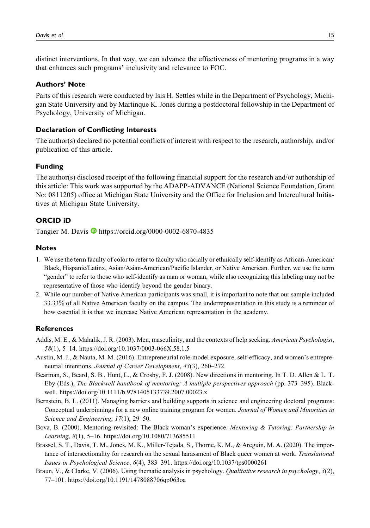distinct interventions. In that way, we can advance the effectiveness of mentoring programs in a way that enhances such programs' inclusivity and relevance to FOC.

#### **Authors' Note**

Parts of this research were conducted by Isis H. Settles while in the Department of Psychology, Michigan State University and by Martinque K. Jones during a postdoctoral fellowship in the Department of Psychology, University of Michigan.

#### **Declaration of Conflicting Interests**

The author(s) declared no potential conflicts of interest with respect to the research, authorship, and/or publication of this article.

#### **Funding**

The author(s) disclosed receipt of the following financial support for the research and/or authorship of this article: This work was supported by the ADAPP-ADVANCE (National Science Foundation, Grant No: 0811205) office at Michigan State University and the Office for Inclusion and Intercultural Initiatives at Michigan State University.

#### **ORCID iD**

Tangier M. Davis D https://orcid.org/0000-0002-6870-4835

#### **Notes**

- 1. We use the term faculty of color to refer to faculty who racially or ethnically self-identify as African-American/ Black, Hispanic/Latinx, Asian/Asian-American/Pacific Islander, or Native American. Further, we use the term "gender" to refer to those who self-identify as man or woman, while also recognizing this labeling may not be representative of those who identify beyond the gender binary.
- 2. While our number of Native American participants was small, it is important to note that our sample included 33.33% of all Native American faculty on the campus. The underrepresentation in this study is a reminder of how essential it is that we increase Native American representation in the academy.

#### **References**

- Addis, M. E., & Mahalik, J. R. (2003). Men, masculinity, and the contexts of help seeking. American Psychologist, 58(1), 5–14. https://doi.org/10.1037/0003-066X.58.1.5
- Austin, M. J., & Nauta, M. M. (2016). Entrepreneurial role-model exposure, self-efficacy, and women's entrepreneurial intentions. Journal of Career Development, 43(3), 260–272.
- Bearman, S., Beard, S. B., Hunt, L., & Crosby, F. J. (2008). New directions in mentoring. In T. D. Allen & L. T. Eby (Eds.), The Blackwell handbook of mentoring: A multiple perspectives approach (pp. 373–395). Blackwell. https://doi.org/10.1111/b.9781405133739.2007.00023.x
- Bernstein, B. L. (2011). Managing barriers and building supports in science and engineering doctoral programs: Conceptual underpinnings for a new online training program for women. Journal of Women and Minorities in Science and Engineering, 17(1), 29–50.
- Bova, B. (2000). Mentoring revisited: The Black woman's experience. Mentoring & Tutoring: Partnership in Learning, 8(1), 5–16. https://doi.org/10.1080/713685511
- Brassel, S. T., Davis, T. M., Jones, M. K., Miller-Tejada, S., Thorne, K. M., & Areguin, M. A. (2020). The importance of intersectionality for research on the sexual harassment of Black queer women at work. Translational Issues in Psychological Science, 6(4), 383–391. https://doi.org/10.1037/tps0000261
- Braun, V., & Clarke, V. (2006). Using thematic analysis in psychology. Qualitative research in psychology, 3(2), 77–101. https://doi.org/10.1191/1478088706qp063oa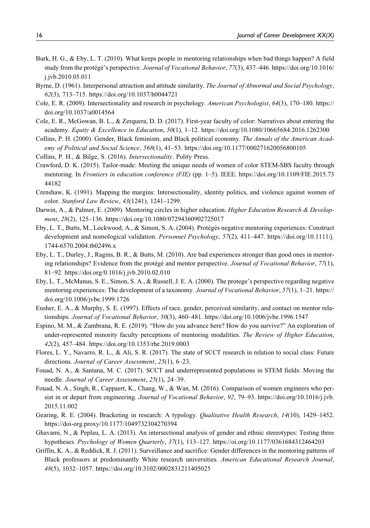- Burk, H. G., & Eby, L. T. (2010). What keeps people in mentoring relationships when bad things happen? A field study from the protégé's perspective. Journal of Vocational Behavior, 77(3), 437–446. https://doi.org/10.1016/ j.jvb.2010.05.011
- Byrne, D. (1961). Interpersonal attraction and attitude similarity. The Journal of Abnormal and Social Psychology, 62(3), 713–715. https://doi.org/10.1037/h0044721
- Cole, E. R. (2009). Intersectionality and research in psychology. American Psychologist, 64(3), 170–180. https:// doi.org/10.1037/a0014564
- Cole, E. R., McGowan, B. L., & Zerquera, D. D. (2017). First-year faculty of color: Narratives about entering the academy. Equity & Excellence in Education,  $50(1)$ ,  $1-12$ . https://doi.org/10.1080/10665684.2016.1262300
- Collins, P. H. (2000). Gender, Black feminism, and Black political economy. The Annals of the American Academy of Political and Social Science, 568(1), 41–53. https://doi.org/10.1177/000271620056800105
- Collins, P. H., & Bilge, S. (2016). Intersectionality. Polity Press.
- Crawford, D. K. (2015). Tailor-made: Meeting the unique needs of women of color STEM-SBS faculty through mentoring. In Frontiers in education conference (FIE) (pp. 1-5). IEEE. https://doi.org/10.1109/FIE.2015.73 44182
- Crenshaw, K. (1991). Mapping the margins: Intersectionality, identity politics, and violence against women of color. Stanford Law Review, 43(1241), 1241–1299.
- Darwin, A., & Palmer, E. (2009). Mentoring circles in higher education. Higher Education Research & Development, 28(2), 125–136. https://doi.org/10.1080/07294360902725017
- Eby, L. T., Butts, M., Lockwood, A., & Simon, S. A. (2004). Protégés negative mentoring experiences: Construct development and nomological validation. Personnel Psychology, 57(2), 411-447. https://doi.org/10.1111/j. 1744-6570.2004.tb02496.x
- Eby, L. T., Durley, J., Ragins, B. R., & Butts, M. (2010). Are bad experiences stronger than good ones in mentoring relationships? Evidence from the protégé and mentor perspective. Journal of Vocational Behavior, 77(1), 81–92. https://doi.org/0.1016/j.jvb.2010.02.010
- Eby, L. T., McManus, S. E., Simon, S. A., & Russell, J. E. A. (2000). The protege's perspective regarding negative mentoring experiences: The development of a taxonomy. Journal of Vocational Behavior, 57(1), 1–21. https:// doi.org/10.1006/jvbe.1999.1726
- Ensher, E. A., & Murphy, S. E. (1997). Effects of race, gender, perceived similarity, and contact on mentor relationships. Journal of Vocational Behavior, 50(3), 460–481. https://doi.org/10.1006/jvbe.1996.1547
- Espino, M. M., & Zambrana, R. E. (2019). "How do you advance here? How do you survive?" An exploration of under-represented minority faculty perceptions of mentoring modalities. The Review of Higher Education, 42(2), 457–484. https://doi.org/10.1353/rhe.2019.0003
- Flores, L. Y., Navarro, R. L., & Ali, S. R. (2017). The state of SCCT research in relation to social class: Future directions. Journal of Career Assessment, 25(1), 6-23.
- Fouad, N. A., & Santana, M. C. (2017). SCCT and underrepresented populations in STEM fields: Moving the needle. Journal of Career Assessment, 25(1), 24–39.
- Fouad, N. A., Singh, R., Cappaert, K., Chang, W., & Wan, M. (2016). Comparison of women engineers who persist in or depart from engineering. Journal of Vocational Behavior, 92, 79–93. https://doi.org/10.1016/j.jvb. 2015.11.002
- Gearing, R. E. (2004). Bracketing in research: A typology. Qualitative Health Research, 14(10), 1429–1452. https://doi-org.proxy/10.1177/1049732304270394
- Ghavami, N., & Peplau, L. A. (2013). An intersectional analysis of gender and ethnic stereotypes: Testing three hypotheses. Psychology of Women Quarterly, 37(1), 113–127. https://oi.org/10.1177/0361684312464203
- Griffin, K. A., & Reddick, R. J. (2011). Surveillance and sacrifice: Gender differences in the mentoring patterns of Black professors at predominantly White research universities. American Educational Research Journal, 48(5), 1032–1057. https://doi.org/10.3102/0002831211405025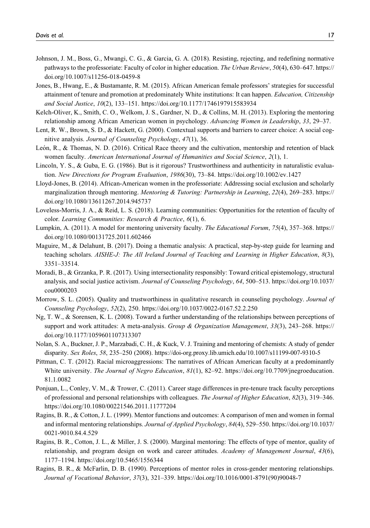- Johnson, J. M., Boss, G., Mwangi, C. G., & Garcia, G. A. (2018). Resisting, rejecting, and redefining normative pathways to the professoriate: Faculty of color in higher education. The Urban Review, 50(4), 630–647. https:// doi.org/10.1007/s11256-018-0459-8
- Jones, B., Hwang, E., & Bustamante, R. M. (2015). African American female professors' strategies for successful attainment of tenure and promotion at predominately White institutions: It can happen. *Education*, Citizenship and Social Justice, 10(2), 133–151. https://doi.org/10.1177/1746197915583934
- Kelch-Oliver, K., Smith, C. O., Welkom, J. S., Gardner, N. D., & Collins, M. H. (2013). Exploring the mentoring relationship among African American women in psychology. Advancing Women in Leadership, 33, 29–37.
- Lent, R. W., Brown, S. D., & Hackett, G. (2000). Contextual supports and barriers to career choice: A social cognitive analysis. Journal of Counseling Psychology, 47(1), 36.
- León, R., & Thomas, N. D. (2016). Critical Race theory and the cultivation, mentorship and retention of black women faculty. American International Journal of Humanities and Social Science, 2(1), 1.
- Lincoln, Y. S., & Guba, E. G. (1986). But is it rigorous? Trustworthiness and authenticity in naturalistic evaluation. New Directions for Program Evaluation, 1986(30), 73–84. https://doi.org/10.1002/ev.1427
- Lloyd-Jones, B. (2014). African-American women in the professoriate: Addressing social exclusion and scholarly marginalization through mentoring. Mentoring & Tutoring: Partnership in Learning, 22(4), 269-283. https:// doi.org/10.1080/13611267.2014.945737
- Loveless-Morris, J. A., & Reid, L. S. (2018). Learning communities: Opportunities for the retention of faculty of color. Learning Communities: Research & Practice, 6(1), 6.
- Lumpkin, A. (2011). A model for mentoring university faculty. The Educational Forum, 75(4), 357–368. https:// doi.org/10.1080/00131725.2011.602466
- Maguire, M., & Delahunt, B. (2017). Doing a thematic analysis: A practical, step-by-step guide for learning and teaching scholars. AISHE-J: The All Ireland Journal of Teaching and Learning in Higher Education, 8(3), 3351–33514.
- Moradi, B., & Grzanka, P. R. (2017). Using intersectionality responsibly: Toward critical epistemology, structural analysis, and social justice activism. Journal of Counseling Psychology, 64, 500–513. https://doi.org/10.1037/ cou0000203
- Morrow, S. L. (2005). Quality and trustworthiness in qualitative research in counseling psychology. Journal of Counseling Psychology, 52(2), 250. https://doi.org/10.1037/0022-0167.52.2.250
- Ng, T. W., & Sorensen, K. L. (2008). Toward a further understanding of the relationships between perceptions of support and work attitudes: A meta-analysis. Group & Organization Management, 33(3), 243-268. https:// doi.org/10.1177/1059601107313307
- Nolan, S. A., Buckner, J. P., Marzabadi, C. H., & Kuck, V. J. Training and mentoring of chemists: A study of gender disparity. Sex Roles, 58, 235–250 (2008). https://doi-org.proxy.lib.umich.edu/10.1007/s11199-007-9310-5
- Pittman, C. T. (2012). Racial microaggressions: The narratives of African American faculty at a predominantly White university. The Journal of Negro Education, 81(1), 82-92. https://doi.org/10.7709/jnegroeducation. 81.1.0082
- Ponjuan, L., Conley, V. M., & Trower, C. (2011). Career stage differences in pre-tenure track faculty perceptions of professional and personal relationships with colleagues. The Journal of Higher Education, 82(3), 319–346. https://doi.org/10.1080/00221546.2011.11777204
- Ragins, B. R., & Cotton, J. L. (1999). Mentor functions and outcomes: A comparison of men and women in formal and informal mentoring relationships. Journal of Applied Psychology, 84(4), 529–550. https://doi.org/10.1037/ 0021-9010.84.4.529
- Ragins, B. R., Cotton, J. L., & Miller, J. S. (2000). Marginal mentoring: The effects of type of mentor, quality of relationship, and program design on work and career attitudes. Academy of Management Journal, 43(6), 1177–1194. https://doi.org/10.5465/1556344
- Ragins, B. R., & McFarlin, D. B. (1990). Perceptions of mentor roles in cross-gender mentoring relationships. Journal of Vocational Behavior, 37(3), 321–339. https://doi.org/10.1016/0001-8791(90)90048-7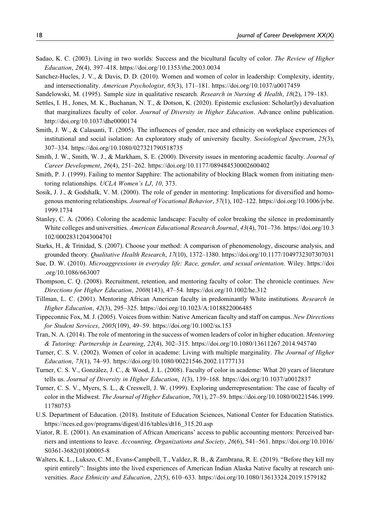- Sadao, K. C. (2003). Living in two worlds: Success and the bicultural faculty of color. The Review of Higher Education, 26(4), 397–418. https://doi.org/10.1353/rhe.2003.0034
- Sanchez-Hucles, J. V., & Davis, D. D. (2010). Women and women of color in leadership: Complexity, identity, and intersectionality. American Psychologist, 65(3), 171–181. https://doi.org/10.1037/a0017459
- Sandelowski, M. (1995). Sample size in qualitative research. Research in Nursing & Health, 18(2), 179–183.
- Settles, I. H., Jones, M. K., Buchanan, N. T., & Dotson, K. (2020). Epistemic exclusion: Scholar(ly) devaluation that marginalizes faculty of color. Journal of Diversity in Higher Education. Advance online publication. http://doi.org/10.1037/dhe0000174
- Smith, J. W., & Calasanti, T. (2005). The influences of gender, race and ethnicity on workplace experiences of institutional and social isolation: An exploratory study of university faculty. Sociological Spectrum, 25(3), 307–334. https://doi.org/10.1080/027321790518735
- Smith, J. W., Smith, W. J., & Markham, S. E. (2000). Diversity issues in mentoring academic faculty. Journal of Career Development, 26(4), 251–262. https://doi.org/10.1177/089484530002600402
- Smith, P. J. (1999). Failing to mentor Sapphire: The actionability of blocking Black women from initiating mentoring relationships. UCLA Women's LJ, 10, 373.
- Sosik, J. J., & Godshalk, V. M. (2000). The role of gender in mentoring: Implications for diversified and homogenous mentoring relationships. Journal of Vocational Behavior, 57(1), 102-122. https://doi.org/10.1006/jvbe. 1999.1734
- Stanley, C. A. (2006). Coloring the academic landscape: Faculty of color breaking the silence in predominantly White colleges and universities. American Educational Research Journal, 43(4), 701–736. https://doi.org/10.3 102/00028312043004701
- Starks, H., & Trinidad, S. (2007). Choose your method: A comparison of phenomenology, discourse analysis, and grounded theory. Qualitative Health Research, 17(10), 1372–1380. https://doi.org/10.1177/1049732307307031
- Sue, D. W. (2010). Microaggressions in everyday life: Race, gender, and sexual orientation. Wiley. https://doi .org/10.1086/663007
- Thompson, C. Q. (2008). Recruitment, retention, and mentoring faculty of color: The chronicle continues. New Directions for Higher Education, 2008(143), 47–54. https://doi.org/10.1002/he.312
- Tillman, L. C. (2001). Mentoring African American faculty in predominantly White institutions. Research in Higher Education, 42(3), 295–325. https://doi.org/10.1023/A:1018822006485
- Tippeconnic Fox, M. J. (2005). Voices from within: Native American faculty and staff on campus. New Directions for Student Services, 2005(109), 49–59. https://doi.org/10.1002/ss.153
- Tran, N. A. (2014). The role of mentoring in the success of women leaders of color in higher education. Mentoring & Tutoring: Partnership in Learning, 22(4), 302–315. https://doi.org/10.1080/13611267.2014.945740
- Turner, C. S. V. (2002). Women of color in academe: Living with multiple marginality. The Journal of Higher Education, 73(1), 74–93. https://doi.org/10.1080/00221546.2002.11777131
- Turner, C. S. V., González, J. C., & Wood, J. L. (2008). Faculty of color in academe: What 20 years of literature tells us. Journal of Diversity in Higher Education, 1(3), 139-168. https://doi.org/10.1037/a0012837
- Turner, C. S. V., Myers, S. L., & Creswell, J. W. (1999). Exploring underrepresentation: The case of faculty of color in the Midwest. The Journal of Higher Education, 70(1), 27–59. https://doi.org/10.1080/00221546.1999. 11780753
- U.S. Department of Education. (2018). Institute of Education Sciences, National Center for Education Statistics. https://nces.ed.gov/programs/digest/d16/tables/dt16\_315.20.asp
- Viator, R. E. (2001). An examination of African Americans' access to public accounting mentors: Perceived barriers and intentions to leave. Accounting, Organizations and Society, 26(6), 541–561. https://doi.org/10.1016/ S0361-3682(01)00005-8
- Walters, K. L., Lukszo, C. M., Evans-Campbell, T., Valdez, R. B., & Zambrana, R. E. (2019). "Before they kill my spirit entirely": Insights into the lived experiences of American Indian Alaska Native faculty at research universities. Race Ethnicity and Education, 22(5), 610–633. https://doi.org/10.1080/13613324.2019.1579182